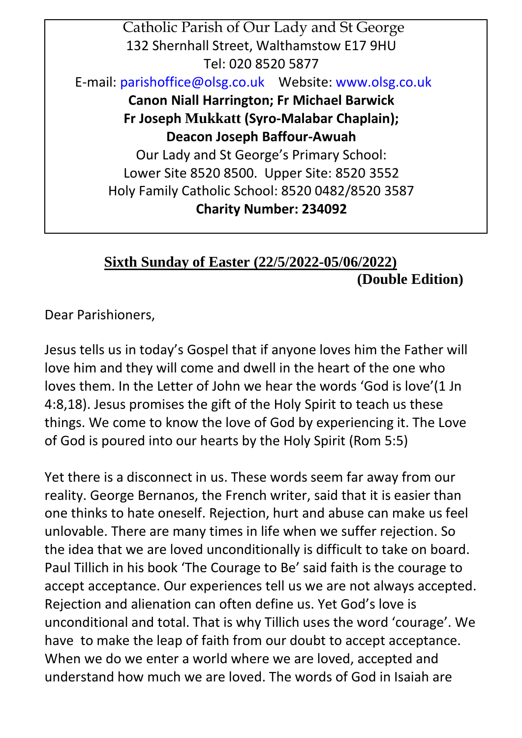Catholic Parish of Our Lady and St George 132 Shernhall Street, Walthamstow E17 9HU Tel: 020 8520 5877 E-mail[: parishoffice@olsg.co.uk](mailto:parishoffice@olsg.co.uk) Website[: www.olsg.co.uk](http://www.olsg.co.uk/) **Canon Niall Harrington; Fr Michael Barwick Fr Joseph Mukkatt (Syro-Malabar Chaplain); Deacon Joseph Baffour-Awuah**  Our Lady and St George's Primary School: Lower Site 8520 8500. Upper Site: 8520 3552 Holy Family Catholic School: 8520 0482/8520 3587 **Charity Number: 234092**

## **Sixth Sunday of Easter (22/5/2022-05/06/2022) (Double Edition)**

Dear Parishioners,

Jesus tells us in today's Gospel that if anyone loves him the Father will love him and they will come and dwell in the heart of the one who loves them. In the Letter of John we hear the words 'God is love'(1 Jn 4:8,18). Jesus promises the gift of the Holy Spirit to teach us these things. We come to know the love of God by experiencing it. The Love of God is poured into our hearts by the Holy Spirit (Rom 5:5)

Yet there is a disconnect in us. These words seem far away from our reality. George Bernanos, the French writer, said that it is easier than one thinks to hate oneself. Rejection, hurt and abuse can make us feel unlovable. There are many times in life when we suffer rejection. So the idea that we are loved unconditionally is difficult to take on board. Paul Tillich in his book 'The Courage to Be' said faith is the courage to accept acceptance. Our experiences tell us we are not always accepted. Rejection and alienation can often define us. Yet God's love is unconditional and total. That is why Tillich uses the word 'courage'. We have to make the leap of faith from our doubt to accept acceptance. When we do we enter a world where we are loved, accepted and understand how much we are loved. The words of God in Isaiah are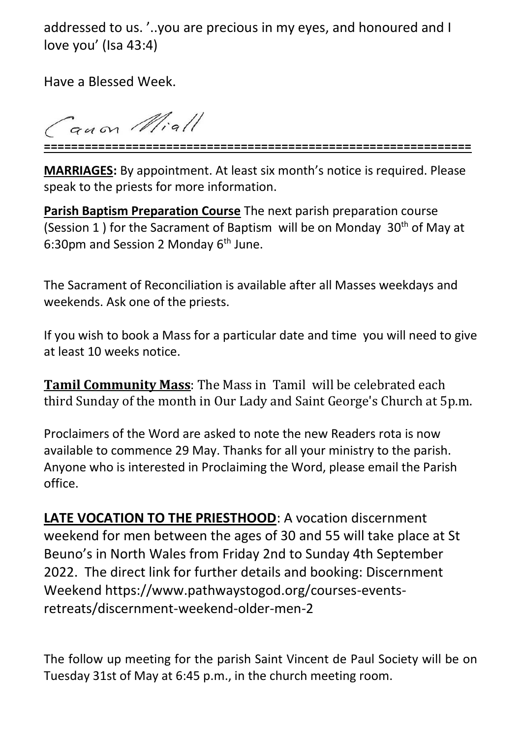addressed to us. '..you are precious in my eyes, and honoured and I love you' (Isa 43:4)

Have a Blessed Week.

auon Miall **===============================================================**

**MARRIAGES:** By appointment. At least six month's notice is required. Please speak to the priests for more information.

**Parish Baptism Preparation Course** The next parish preparation course (Session 1) for the Sacrament of Baptism will be on Monday 30<sup>th</sup> of May at 6:30pm and Session 2 Monday  $6<sup>th</sup>$  June.

The Sacrament of Reconciliation is available after all Masses weekdays and weekends. Ask one of the priests.

If you wish to book a Mass for a particular date and time you will need to give at least 10 weeks notice.

**Tamil Community Mass**: The Mass in Tamil will be celebrated each third Sunday of the month in Our Lady and Saint George's Church at 5p.m.

Proclaimers of the Word are asked to note the new Readers rota is now available to commence 29 May. Thanks for all your ministry to the parish. Anyone who is interested in Proclaiming the Word, please email the Parish office.

**LATE VOCATION TO THE PRIESTHOOD**: A vocation discernment weekend for men between the ages of 30 and 55 will take place at St Beuno's in North Wales from Friday 2nd to Sunday 4th September 2022. The direct link for further details and booking: Discernment Weekend https://www.pathwaystogod.org/courses-eventsretreats/discernment-weekend-older-men-2

The follow up meeting for the parish Saint Vincent de Paul Society will be on Tuesday 31st of May at 6:45 p.m., in the church meeting room.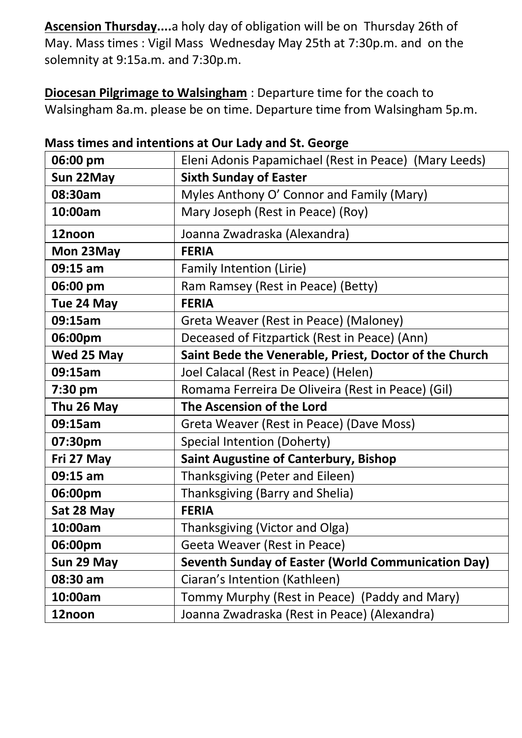**Ascension Thursday....**a holy day of obligation will be on Thursday 26th of May. Mass times : Vigil Mass Wednesday May 25th at 7:30p.m. and on the solemnity at 9:15a.m. and 7:30p.m.

**Diocesan Pilgrimage to Walsingham** : Departure time for the coach to Walsingham 8a.m. please be on time. Departure time from Walsingham 5p.m.

| 06:00 pm   | Eleni Adonis Papamichael (Rest in Peace) (Mary Leeds)  |
|------------|--------------------------------------------------------|
| Sun 22May  | <b>Sixth Sunday of Easter</b>                          |
| 08:30am    | Myles Anthony O' Connor and Family (Mary)              |
| 10:00am    | Mary Joseph (Rest in Peace) (Roy)                      |
| 12noon     | Joanna Zwadraska (Alexandra)                           |
| Mon 23May  | <b>FERIA</b>                                           |
| $09:15$ am | Family Intention (Lirie)                               |
| 06:00 pm   | Ram Ramsey (Rest in Peace) (Betty)                     |
| Tue 24 May | <b>FERIA</b>                                           |
| 09:15am    | Greta Weaver (Rest in Peace) (Maloney)                 |
| 06:00pm    | Deceased of Fitzpartick (Rest in Peace) (Ann)          |
| Wed 25 May | Saint Bede the Venerable, Priest, Doctor of the Church |
| 09:15am    | Joel Calacal (Rest in Peace) (Helen)                   |
| 7:30 pm    | Romama Ferreira De Oliveira (Rest in Peace) (Gil)      |
| Thu 26 May | The Ascension of the Lord                              |
| 09:15am    | Greta Weaver (Rest in Peace) (Dave Moss)               |
| 07:30pm    | Special Intention (Doherty)                            |
| Fri 27 May | <b>Saint Augustine of Canterbury, Bishop</b>           |
| 09:15 am   | Thanksgiving (Peter and Eileen)                        |
| 06:00pm    | Thanksgiving (Barry and Shelia)                        |
| Sat 28 May | <b>FERIA</b>                                           |
| 10:00am    | Thanksgiving (Victor and Olga)                         |
| 06:00pm    | Geeta Weaver (Rest in Peace)                           |
| Sun 29 May | Seventh Sunday of Easter (World Communication Day)     |
| 08:30 am   | Ciaran's Intention (Kathleen)                          |
| 10:00am    | Tommy Murphy (Rest in Peace) (Paddy and Mary)          |
| 12noon     | Joanna Zwadraska (Rest in Peace) (Alexandra)           |

## **Mass times and intentions at Our Lady and St. George**